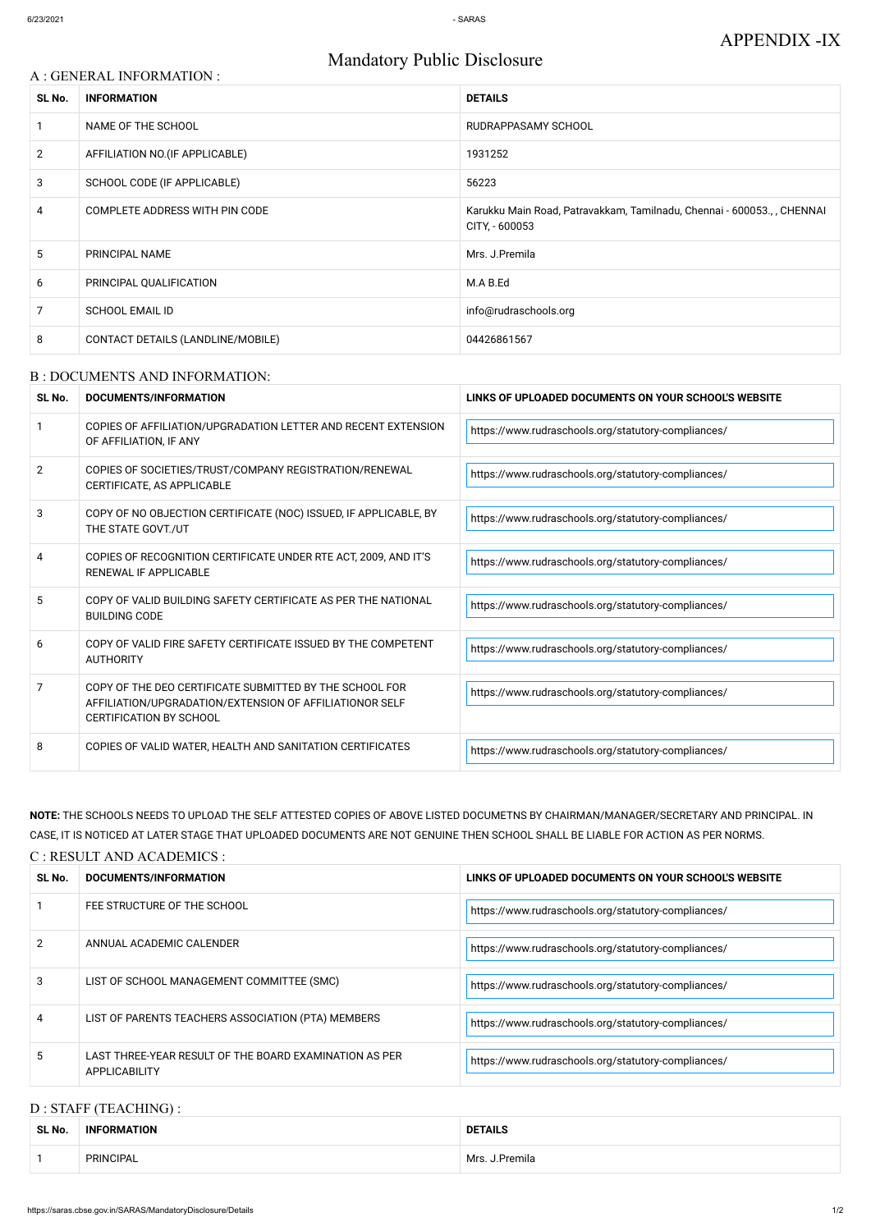# A : GENERAL INFORMATION : **SL No. INFORMATION DETAILS** 1 NAME OF THE SCHOOL RUDRAPPASAMY SCHOOL 2 AFFILIATION NO. (IF APPLICABLE) 1931252 3 SCHOOL CODE (IF APPLICABLE) 56223 4 COMPLETE ADDRESS WITH PIN CODE **Karukku Main Road, Patravakkam, Tamilnadu**, Chennai - 600053., , CHENNAI CITY, - 600053 5 PRINCIPAL NAME NAME NET RESERVE THE SERVE THAT A PRINCIPAL NAME NET RESERVE THAT A PRINCIPAL NAME 6 PRINCIPAL QUALIFICATION M.A B.Ed 7 SCHOOL EMAIL ID info@rudraschools.org 8 CONTACT DETAILS (LANDLINE/MOBILE) 2004/126861567

## Mandatory Public Disclosure

#### B : DOCUMENTS AND INFORMATION:

| SL No. | DOCUMENTS/INFORMATION                                                                                                                                | LINKS OF UPLOADED DOCUMENTS ON YOUR SCHOOL'S WEBSITE |  |
|--------|------------------------------------------------------------------------------------------------------------------------------------------------------|------------------------------------------------------|--|
|        | COPIES OF AFFILIATION/UPGRADATION LETTER AND RECENT EXTENSION<br>OF AFFILIATION, IF ANY                                                              | https://www.rudraschools.org/statutory-compliances/  |  |
| 2      | COPIES OF SOCIETIES/TRUST/COMPANY REGISTRATION/RENEWAL<br>CERTIFICATE, AS APPLICABLE                                                                 | https://www.rudraschools.org/statutory-compliances/  |  |
| 3      | COPY OF NO OBJECTION CERTIFICATE (NOC) ISSUED, IF APPLICABLE, BY<br>THE STATE GOVT./UT                                                               | https://www.rudraschools.org/statutory-compliances/  |  |
| 4      | COPIES OF RECOGNITION CERTIFICATE UNDER RTE ACT, 2009, AND IT'S<br><b>RENEWAL IF APPLICABLE</b>                                                      | https://www.rudraschools.org/statutory-compliances/  |  |
| 5      | COPY OF VALID BUILDING SAFETY CERTIFICATE AS PER THE NATIONAL<br><b>BUILDING CODE</b>                                                                | https://www.rudraschools.org/statutory-compliances/  |  |
| 6      | COPY OF VALID FIRE SAFETY CERTIFICATE ISSUED BY THE COMPETENT<br><b>AUTHORITY</b>                                                                    | https://www.rudraschools.org/statutory-compliances/  |  |
| 7      | COPY OF THE DEO CERTIFICATE SUBMITTED BY THE SCHOOL FOR<br>AFFILIATION/UPGRADATION/EXTENSION OF AFFILIATIONOR SELF<br><b>CERTIFICATION BY SCHOOL</b> | https://www.rudraschools.org/statutory-compliances/  |  |
| 8      | COPIES OF VALID WATER, HEALTH AND SANITATION CERTIFICATES                                                                                            | https://www.rudraschools.org/statutory-compliances/  |  |

| $\mathcal{L}$ | ANNUAL ACADEMIC CALENDER                                                       | https://www.rudraschools.org/statutory-compliances/ |
|---------------|--------------------------------------------------------------------------------|-----------------------------------------------------|
|               | LIST OF SCHOOL MANAGEMENT COMMITTEE (SMC)                                      | https://www.rudraschools.org/statutory-compliances/ |
|               | LIST OF PARENTS TEACHERS ASSOCIATION (PTA) MEMBERS                             | https://www.rudraschools.org/statutory-compliances/ |
|               | LAST THREE-YEAR RESULT OF THE BOARD EXAMINATION AS PER<br><b>APPLICABILITY</b> | https://www.rudraschools.org/statutory-compliances/ |

**NOTE:** THE SCHOOLS NEEDS TO UPLOAD THE SELF ATTESTED COPIES OF ABOVE LISTED DOCUMETNS BY CHAIRMAN/MANAGER/SECRETARY AND PRINCIPAL. IN CASE, IT IS NOTICED AT LATER STAGE THAT UPLOADED DOCUMENTS ARE NOT GENUINE THEN SCHOOL SHALL BE LIABLE FOR ACTION AS PER NORMS.

#### C : RESULT AND ACADEMICS :

| SL No. | DOCUMENTS/INFORMATION       | LINKS OF UPLOADED DOCUMENTS ON YOUR SCHOOL'S WEBSITE |  |
|--------|-----------------------------|------------------------------------------------------|--|
|        | FEE STRUCTURE OF THE SCHOOL | https://www.rudraschools.org/statutory-compliances/  |  |

#### D : STAFF (TEACHING) :

| SL No. | <b>INFORMATION</b> | <b>DETAILS</b>    |
|--------|--------------------|-------------------|
|        | <b>PRINCIPAL</b>   | Mrs.<br>I.Premila |